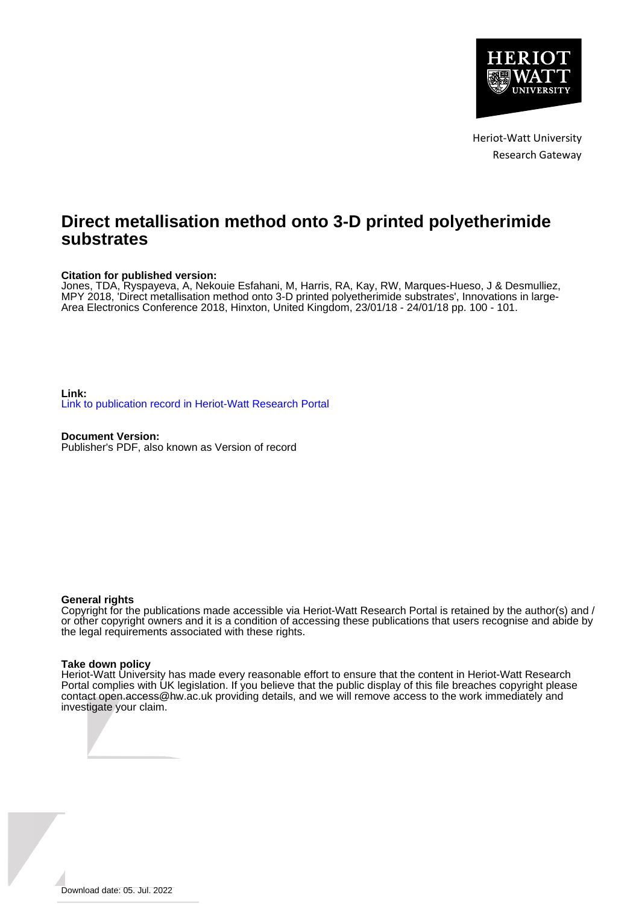

Heriot-Watt University Research Gateway

## **Direct metallisation method onto 3-D printed polyetherimide substrates**

### **Citation for published version:**

Jones, TDA, Ryspayeva, A, Nekouie Esfahani, M, Harris, RA, Kay, RW, Marques-Hueso, J & Desmulliez, MPY 2018, 'Direct metallisation method onto 3-D printed polyetherimide substrates', Innovations in large-Area Electronics Conference 2018, Hinxton, United Kingdom, 23/01/18 - 24/01/18 pp. 100 - 101.

**Link:** [Link to publication record in Heriot-Watt Research Portal](https://researchportal.hw.ac.uk/en/publications/ffd53317-5bf6-4ae1-bf23-63fc165d17b6)

**Document Version:** Publisher's PDF, also known as Version of record

### **General rights**

Copyright for the publications made accessible via Heriot-Watt Research Portal is retained by the author(s) and / or other copyright owners and it is a condition of accessing these publications that users recognise and abide by the legal requirements associated with these rights.

### **Take down policy**

Heriot-Watt University has made every reasonable effort to ensure that the content in Heriot-Watt Research Portal complies with UK legislation. If you believe that the public display of this file breaches copyright please contact open.access@hw.ac.uk providing details, and we will remove access to the work immediately and investigate your claim.

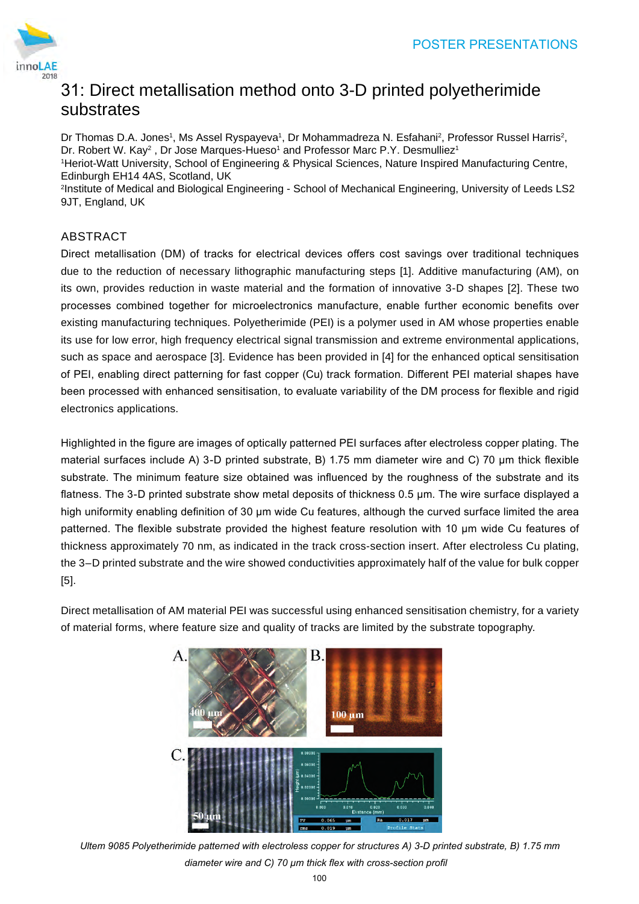# 31: Direct metallisation method onto 3-D printed polyetherimide substrates

Dr Thomas D.A. Jones1, Ms Assel Ryspayeva1, Dr Mohammadreza N. Esfahani<sup>2</sup>, Professor Russel Harris<sup>2</sup>, Dr. Robert W. Kay $^2$  , Dr Jose Marques-Hueso $^1$  and Professor Marc P.Y. Desmulliez $^1$ 

1 Heriot-Watt University, School of Engineering & Physical Sciences, Nature Inspired Manufacturing Centre, Edinburgh EH14 4AS, Scotland, UK

2 Institute of Medical and Biological Engineering - School of Mechanical Engineering, University of Leeds LS2 9JT, England, UK

## ABSTRACT

Direct metallisation (DM) of tracks for electrical devices offers cost savings over traditional techniques due to the reduction of necessary lithographic manufacturing steps [1]. Additive manufacturing (AM), on its own, provides reduction in waste material and the formation of innovative 3-D shapes [2]. These two processes combined together for microelectronics manufacture, enable further economic benefits over existing manufacturing techniques. Polyetherimide (PEI) is a polymer used in AM whose properties enable its use for low error, high frequency electrical signal transmission and extreme environmental applications, such as space and aerospace [3]. Evidence has been provided in [4] for the enhanced optical sensitisation of PEI, enabling direct patterning for fast copper (Cu) track formation. Different PEI material shapes have been processed with enhanced sensitisation, to evaluate variability of the DM process for flexible and rigid electronics applications. POSTER PRESENTATIONS<br>
The 3-D printed polyetherimide<br>
ohammadreza N. Estahani<sup>2</sup>, Professor Russel Harris<sup>2</sup>,<br>
colossor Marc P.Y. Desmulliez'<br>
colossor Marc P.Y. Desmulliez'<br>
colost Mechanical Engineering, University of Le

Highlighted in the figure are images of optically patterned PEI surfaces after electroless copper plating. The material surfaces include A) 3-D printed substrate, B) 1.75 mm diameter wire and C) 70 µm thick flexible substrate. The minimum feature size obtained was influenced by the roughness of the substrate and its flatness. The 3-D printed substrate show metal deposits of thickness 0.5 µm. The wire surface displayed a high uniformity enabling definition of 30 um wide Cu features, although the curved surface limited the area patterned. The flexible substrate provided the highest feature resolution with 10 µm wide Cu features of thickness approximately 70 nm, as indicated in the track cross-section insert. After electroless Cu plating, the 3–D printed substrate and the wire showed conductivities approximately half of the value for bulk copper [5].

Direct metallisation of AM material PEI was successful using enhanced sensitisation chemistry, for a variety of material forms, where feature size and quality of tracks are limited by the substrate topography.



*Ultem 9085 Polyetherimide patterned with electroless copper for structures A) 3-D printed substrate, B) 1.75 mm diameter wire and C) 70 µm thick flex with cross-section profil*